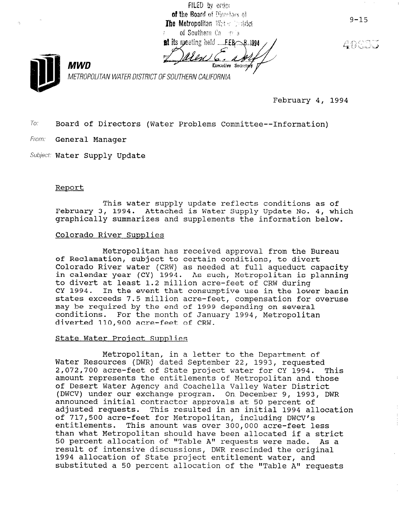FILED by order of the Board of Directors of The Metropolitan Webs installed of Southern Ca realist

at its meeting held EEB 8.1994

40605

 $9 - 15$ 



METROPOLITAN WATER DISTRICT OF SOUTHERN CALIFORNIA

February 4, 1994

To. Board of Directors (Water Problems Committee--Information)

From: General Manager

Subject: Water Supply Update

#### Report

This water supply update reflects conditions as of February 3, 1994. Attached is Water Supply Update No. 4, which graphically summarizes and supplements the information below.

## Colorado River Supplies

Metropolitan has received approval from the Bureau of Reclamation, subject to certain conditions, to divert Colorado River water (CRW) as needed at full aqueduct capacity in calendar year (CY) 1994. As such, Metropolitan is planning to divert at least 1.2 million acre-feet of CRW during CY 1994. In the event that consumptive use in the lower basin states exceeds 7.5 million acre-feet, compensation for overuse may be required by the end of 1999 depending on several conditions. For the month of January 1994, Metropolitan diverted 110,900 acre-feet of CRW.

#### State Water Project Supplies

Metropolitan, in a letter to the Department of Water Resources (DWR) dated September 22, 1993, requested 2,072,700 acre-feet of State project water for CY 1994. This z,072,700 acre-reet or state project water for Cf 1994. The of Desert Water Agency and Coachella Valley Water District of Desert Water Agency and Coachella Valley Water District<br>(DWCV) under our exchange program. On December 9, 1993, DWR announced initial contractor approvals at 50 percent of announced initial contractor approvais at 50 percent or<br>edivated requests. This resulted in an initial 1994 allocat adjusted requests. This resulted in an initial 1994 allocation of 717,500 acre-feet for Metropolitan, including DWCV's entitlements. This amount was over 300,000 acre-feet less than what Metropolitan should have been allocated if a stricture in the stricture of the stricture of a strict<br>Then what Metropolitan should have been allocated in the stricture of the than what metropolitan should have been allocated if a strict<br>EQ percent allocation of "Table A" requests were made. As a 50 percent allocation of "Table A" requests were made. As a result of intensive discussions, DWR rescinded the original resuit of intensive discussions, DWK rescinded the orig<br>1994 allection of State provided with water substituted a 50 percent allocation of the "Table A" requests and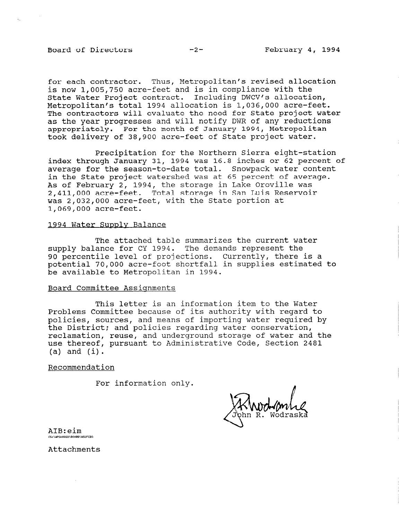#### Board of Directors -2- February 4, 1994

for each contractor. Thus, Metropolitan's revised allocation is now 1,005,750 acre-feet and is in compliance with the State Water Project contract. Including DWCV's allocation, Metropolitan's total 1994 allocation is 1,036,OOO acre-feet. The contractors will evaluate the need for State project water as the year progresses and will notify DWR of any reductions appropriately. For the month of January 1994, Metropolitan took delivery of 38,900 acre-feet of State project water.

Precipitation for the Northern Sierra eight-station index through January 31, 1994 was 16.8 inches or 62 percent of average for the season-to-date total. Snowpack water content in the State project watershed was at 65 percent of average. As of February 2, 1994, the storage in Lake Oroville was 2,411,OOO acre-feet. Total storage in San Luis Reservoir was 2,032,OOO acre-feet, with the State portion at 1,069,OOO acre-feet.

#### 1994 Water Supplv Balance

The attached table summarizes the current water supply balance for CY 1994. The demands represent the 90 percentile level of projections. Currently, there is a potential 70,000 acre-foot shortfall in supplies estimated to be available to Metropolitan in 1994.

## Board Committee Assignments

This letter is an information item to the Water Problems Committee because of its authority with regard to policies, sources, and means of importing water required by the District; and policies regarding water conservation, reclamation, reuse, and underground storage of water and the use thereof, pursuant to Administrative Code, Section 2481  $(a)$  and  $(i)$ .

#### Recommendation

For information only.

ATB:eim **C. LOCUADED BOARD USIEER)** 

Attachments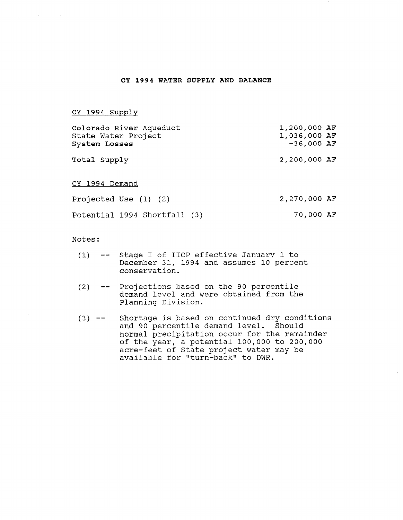#### CY 1994 WATER SUPPLY AND BALANCE

CY 1994 Supply

| Colorado River Aqueduct<br>State Water Project<br>System Losses | 1,200,000 AF<br>1,036,000 AF<br>$-36,000$ AF |
|-----------------------------------------------------------------|----------------------------------------------|
| Total Supply                                                    | 2,200,000 AF                                 |
| CY 1994 Demand                                                  |                                              |
| Projected Use (1) (2)                                           | 2,270,000 AF                                 |
| Potential 1994 Shortfall (3)                                    | 70,000 AF                                    |

Notes :

- (1) -- Stage I of IICP effective January 1 to December 31, 1994 and assumes 10 percent conservation.
- $(2)$ -- Projections based on the 90 percentile demand level and were obtained from the Planning Division.
- $(3)$  --Shortage is based on continued dry conditions and 90 percentile demand level. Should normal precipitation occur for the remainder of the year, a potential 100,000 to 200,000 acre-feet of State project water may be available for "turn-back" to DWR.